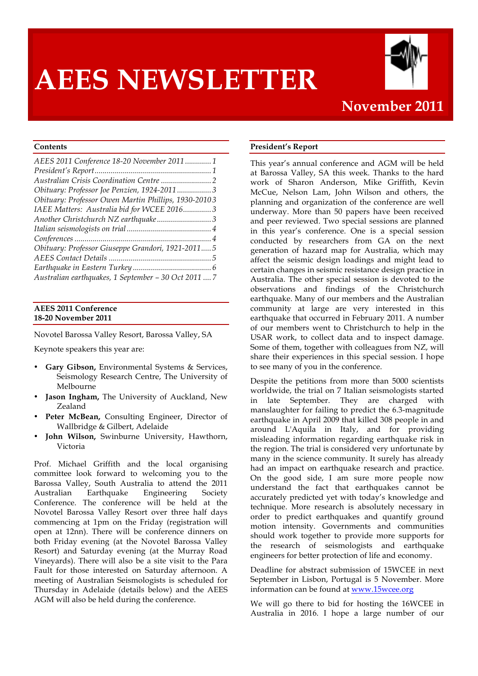# **AEES NEWSLETTER**



# **November 2011**

## **Contents**

| AEES 2011 Conference 18-20 November 2011  1          |
|------------------------------------------------------|
|                                                      |
|                                                      |
| Obituary: Professor Joe Penzien, 1924-20113          |
| Obituary: Professor Owen Martin Phillips, 1930-20103 |
| IAEE Matters: Australia bid for WCEE 20163           |
|                                                      |
|                                                      |
|                                                      |
| Obituary: Professor Giuseppe Grandori, 1921-20115    |
|                                                      |
|                                                      |
| Australian earthquakes, 1 September - 30 Oct 2011  7 |

#### **AEES 2011 Conference 18-20 November 2011**

Novotel Barossa Valley Resort, Barossa Valley, SA

Keynote speakers this year are:

- **Gary Gibson,** Environmental Systems & Services, Seismology Research Centre, The University of Melbourne
- Jason Ingham, The University of Auckland, New Zealand
- Peter McBean, Consulting Engineer, Director of Wallbridge & Gilbert, Adelaide
- **John Wilson,** Swinburne University, Hawthorn, Victoria

Prof. Michael Griffith and the local organising committee look forward to welcoming you to the Barossa Valley, South Australia to attend the 2011 Australian Earthquake Engineering Society Conference. The conference will be held at the Novotel Barossa Valley Resort over three half days commencing at 1pm on the Friday (registration will open at 12nn). There will be conference dinners on both Friday evening (at the Novotel Barossa Valley Resort) and Saturday evening (at the Murray Road Vineyards). There will also be a site visit to the Para Fault for those interested on Saturday afternoon. A meeting of Australian Seismologists is scheduled for Thursday in Adelaide (details below) and the AEES AGM will also be held during the conference.

#### **President's Report**

This year's annual conference and AGM will be held at Barossa Valley, SA this week. Thanks to the hard work of Sharon Anderson, Mike Griffith, Kevin McCue, Nelson Lam, John Wilson and others, the planning and organization of the conference are well underway. More than 50 papers have been received and peer reviewed. Two special sessions are planned in this year's conference. One is a special session conducted by researchers from GA on the next generation of hazard map for Australia, which may affect the seismic design loadings and might lead to certain changes in seismic resistance design practice in Australia. The other special session is devoted to the observations and findings of the Christchurch earthquake. Many of our members and the Australian community at large are very interested in this earthquake that occurred in February 2011. A number of our members went to Christchurch to help in the USAR work, to collect data and to inspect damage. Some of them, together with colleagues from NZ, will share their experiences in this special session. I hope to see many of you in the conference.

Despite the petitions from more than 5000 scientists worldwide, the trial on 7 Italian seismologists started in late September. They are charged with manslaughter for failing to predict the 6.3-magnitude earthquake in April 2009 that killed 308 people in and around L'Aquila in Italy, and for providing misleading information regarding earthquake risk in the region. The trial is considered very unfortunate by many in the science community. It surely has already had an impact on earthquake research and practice. On the good side, I am sure more people now understand the fact that earthquakes cannot be accurately predicted yet with today's knowledge and technique. More research is absolutely necessary in order to predict earthquakes and quantify ground motion intensity. Governments and communities should work together to provide more supports for the research of seismologists and earthquake engineers for better protection of life and economy.

Deadline for abstract submission of 15WCEE in next September in Lisbon, Portugal is 5 November. More information can be found at www.15wcee.org

We will go there to bid for hosting the 16WCEE in Australia in 2016. I hope a large number of our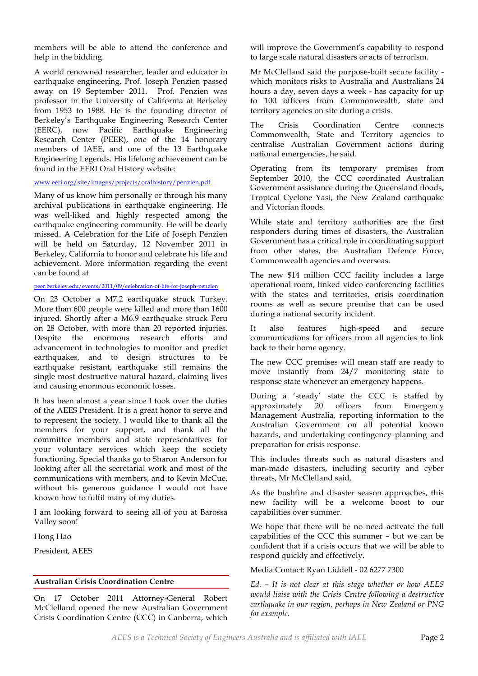members will be able to attend the conference and help in the bidding.

A world renowned researcher, leader and educator in earthquake engineering, Prof. Joseph Penzien passed away on 19 September 2011. Prof. Penzien was professor in the University of California at Berkeley from 1953 to 1988. He is the founding director of Berkeley's Earthquake Engineering Research Center (EERC), now Pacific Earthquake Engineering Research Center (PEER), one of the 14 honorary members of IAEE, and one of the 13 Earthquake Engineering Legends. His lifelong achievement can be found in the EERI Oral History website:

#### www.eeri.org/site/images/projects/oralhistory/penzien.pdf

Many of us know him personally or through his many archival publications in earthquake engineering. He was well-liked and highly respected among the earthquake engineering community. He will be dearly missed. A Celebration for the Life of Joseph Penzien will be held on Saturday, 12 November 2011 in Berkeley, California to honor and celebrate his life and achievement. More information regarding the event can be found at

#### peer.berkeley.edu/events/2011/09/celebration-of-life-for-joseph-penzien

On 23 October a M7.2 earthquake struck Turkey. More than 600 people were killed and more than 1600 injured. Shortly after a M6.9 earthquake struck Peru on 28 October, with more than 20 reported injuries. Despite the enormous research efforts and advancement in technologies to monitor and predict earthquakes, and to design structures to be earthquake resistant, earthquake still remains the single most destructive natural hazard, claiming lives and causing enormous economic losses.

It has been almost a year since I took over the duties of the AEES President. It is a great honor to serve and to represent the society. I would like to thank all the members for your support, and thank all the committee members and state representatives for your voluntary services which keep the society functioning. Special thanks go to Sharon Anderson for looking after all the secretarial work and most of the communications with members, and to Kevin McCue, without his generous guidance I would not have known how to fulfil many of my duties.

I am looking forward to seeing all of you at Barossa Valley soon!

Hong Hao

President, AEES

## **Australian Crisis Coordination Centre**

On 17 October 2011 Attorney-General Robert McClelland opened the new Australian Government Crisis Coordination Centre (CCC) in Canberra, which will improve the Government's capability to respond to large scale natural disasters or acts of terrorism.

Mr McClelland said the purpose-built secure facility which monitors risks to Australia and Australians 24 hours a day, seven days a week - has capacity for up to 100 officers from Commonwealth, state and territory agencies on site during a crisis.

The Crisis Coordination Centre connects Commonwealth, State and Territory agencies to centralise Australian Government actions during national emergencies, he said.

Operating from its temporary premises from September 2010, the CCC coordinated Australian Government assistance during the Queensland floods, Tropical Cyclone Yasi, the New Zealand earthquake and Victorian floods.

While state and territory authorities are the first responders during times of disasters, the Australian Government has a critical role in coordinating support from other states, the Australian Defence Force, Commonwealth agencies and overseas.

The new \$14 million CCC facility includes a large operational room, linked video conferencing facilities with the states and territories, crisis coordination rooms as well as secure premise that can be used during a national security incident.

It also features high-speed and secure communications for officers from all agencies to link back to their home agency.

The new CCC premises will mean staff are ready to move instantly from 24/7 monitoring state to response state whenever an emergency happens.

During a 'steady' state the CCC is staffed by approximately 20 officers from Emergency Management Australia, reporting information to the Australian Government on all potential known hazards, and undertaking contingency planning and preparation for crisis response.

This includes threats such as natural disasters and man-made disasters, including security and cyber threats, Mr McClelland said.

As the bushfire and disaster season approaches, this new facility will be a welcome boost to our capabilities over summer.

We hope that there will be no need activate the full capabilities of the CCC this summer – but we can be confident that if a crisis occurs that we will be able to respond quickly and effectively.

Media Contact: Ryan Liddell - 02 6277 7300

*Ed. – It is not clear at this stage whether or how AEES would liaise with the Crisis Centre following a destructive earthquake in our region, perhaps in New Zealand or PNG for example.*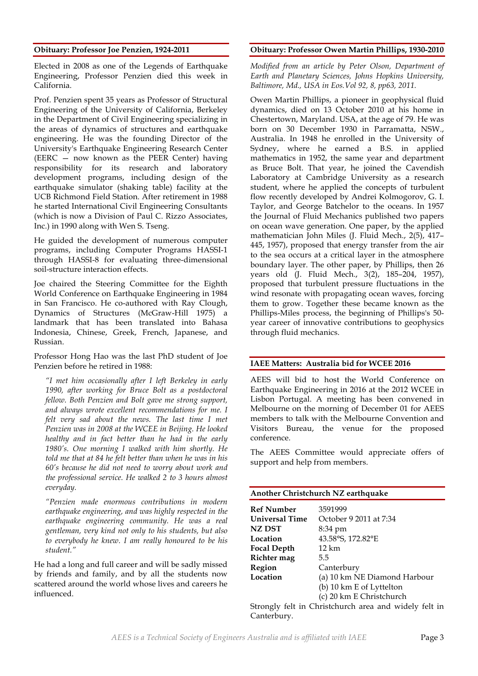#### **Obituary: Professor Joe Penzien, 1924-2011**

Elected in 2008 as one of the Legends of Earthquake Engineering, Professor Penzien died this week in California.

Prof. Penzien spent 35 years as Professor of Structural Engineering of the University of California, Berkeley in the Department of Civil Engineering specializing in the areas of dynamics of structures and earthquake engineering. He was the founding Director of the University's Earthquake Engineering Research Center (EERC — now known as the PEER Center) having responsibility for its research and laboratory development programs, including design of the earthquake simulator (shaking table) facility at the UCB Richmond Field Station. After retirement in 1988 he started International Civil Engineering Consultants (which is now a Division of Paul C. Rizzo Associates, Inc.) in 1990 along with Wen S. Tseng.

He guided the development of numerous computer programs, including Computer Programs HASSI-1 through HASSI-8 for evaluating three-dimensional soil-structure interaction effects.

Joe chaired the Steering Committee for the Eighth World Conference on Earthquake Engineering in 1984 in San Francisco. He co-authored with Ray Clough, Dynamics of Structures (McGraw-Hill 1975) a landmark that has been translated into Bahasa Indonesia, Chinese, Greek, French, Japanese, and Russian.

Professor Hong Hao was the last PhD student of Joe Penzien before he retired in 1988:

*"I met him occasionally after I left Berkeley in early 1990, after working for Bruce Bolt as a postdoctoral fellow. Both Penzien and Bolt gave me strong support, and always wrote excellent recommendations for me. I felt very sad about the news. The last time I met Penzien was in 2008 at the WCEE in Beijing. He looked healthy and in fact better than he had in the early 1980's. One morning I walked with him shortly. He told me that at 84 he felt better than when he was in his 60's because he did not need to worry about work and the professional service. He walked 2 to 3 hours almost everyday.*

*"Penzien made enormous contributions in modern earthquake engineering, and was highly respected in the earthquake engineering community. He was a real gentleman, very kind not only to his students, but also to everybody he knew. I am really honoured to be his student."*

He had a long and full career and will be sadly missed by friends and family, and by all the students now scattered around the world whose lives and careers he influenced.

#### **Obituary: Professor Owen Martin Phillips, 1930-2010**

*Modified from an article by Peter Olson, Department of Earth and Planetary Sciences, Johns Hopkins University, Baltimore, Md., USA in Eos.Vol 92, 8, pp63, 2011.*

Owen Martin Phillips, a pioneer in geophysical fluid dynamics, died on 13 October 2010 at his home in Chestertown, Maryland. USA, at the age of 79. He was born on 30 December 1930 in Parramatta, NSW., Australia. In 1948 he enrolled in the University of Sydney, where he earned a B.S. in applied mathematics in 1952, the same year and department as Bruce Bolt. That year, he joined the Cavendish Laboratory at Cambridge University as a research student, where he applied the concepts of turbulent flow recently developed by Andrei Kolmogorov, G. I. Taylor, and George Batchelor to the oceans. In 1957 the Journal of Fluid Mechanics published two papers on ocean wave generation. One paper, by the applied mathematician John Miles (J. Fluid Mech., 2(5), 417– 445, 1957), proposed that energy transfer from the air to the sea occurs at a critical layer in the atmosphere boundary layer. The other paper, by Phillips, then 26 years old (J. Fluid Mech., 3(2), 185–204, 1957), proposed that turbulent pressure fluctuations in the wind resonate with propagating ocean waves, forcing them to grow. Together these became known as the Phillips-Miles process, the beginning of Phillips's 50 year career of innovative contributions to geophysics through fluid mechanics.

#### **IAEE Matters: Australia bid for WCEE 2016**

AEES will bid to host the World Conference on Earthquake Engineering in 2016 at the 2012 WCEE in Lisbon Portugal. A meeting has been convened in Melbourne on the morning of December 01 for AEES members to talk with the Melbourne Convention and Visitors Bureau, the venue for the proposed conference.

The AEES Committee would appreciate offers of support and help from members.

| Another Christchurch NZ earthquake                    |                              |  |  |
|-------------------------------------------------------|------------------------------|--|--|
| <b>Ref Number</b>                                     | 3591999                      |  |  |
| <b>Universal Time</b>                                 | October 9 2011 at 7:34       |  |  |
| NZ DST                                                | 8:34 pm                      |  |  |
| Location                                              | 43.58°S, 172.82°E            |  |  |
| <b>Focal Depth</b>                                    | 12 km                        |  |  |
| Richter mag                                           | 5.5                          |  |  |
| Region                                                | Canterbury                   |  |  |
| Location                                              | (a) 10 km NE Diamond Harbour |  |  |
|                                                       | (b) 10 km E of Lyttelton     |  |  |
|                                                       | (c) 20 km E Christchurch     |  |  |
| Strongly felt in Christchurch area and widely felt in |                              |  |  |

Strongly felt in Christchurch area and widely felt in Canterbury.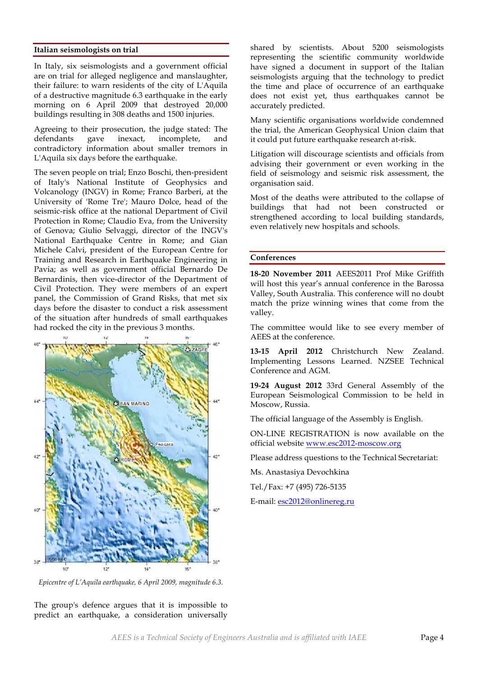#### **Italian seismologists on trial**

In Italy, six seismologists and a government official are on trial for alleged negligence and manslaughter, their failure: to warn residents of the city of L'Aquila of a destructive magnitude 6.3 earthquake in the early morning on 6 April 2009 that destroyed 20,000 buildings resulting in 308 deaths and 1500 injuries.

Agreeing to their prosecution, the judge stated: The defendants gave inexact, incomplete, and contradictory information about smaller tremors in L'Aquila six days before the earthquake.

The seven people on trial; Enzo Boschi, then-president of Italy's National Institute of Geophysics and Volcanology (INGV) in Rome; Franco Barberi, at the University of 'Rome Tre'; Mauro Dolce, head of the seismic-risk office at the national Department of Civil Protection in Rome; Claudio Eva, from the University of Genova; Giulio Selvaggi, director of the INGV's National Earthquake Centre in Rome; and Gian Michele Calvi, president of the European Centre for Training and Research in Earthquake Engineering in Pavia; as well as government official Bernardo De Bernardinis, then vice-director of the Department of Civil Protection. They were members of an expert panel, the Commission of Grand Risks, that met six days before the disaster to conduct a risk assessment of the situation after hundreds of small earthquakes had rocked the city in the previous 3 months.



*Epicentre of L'Aquila earthquake, 6 April 2009, magnitude 6.3.*

The group's defence argues that it is impossible to predict an earthquake, a consideration universally shared by scientists. About 5200 seismologists representing the scientific community worldwide have signed a document in support of the Italian seismologists arguing that the technology to predict the time and place of occurrence of an earthquake does not exist yet, thus earthquakes cannot be accurately predicted.

Many scientific organisations worldwide condemned the trial, the American Geophysical Union claim that it could put future earthquake research at-risk.

Litigation will discourage scientists and officials from advising their government or even working in the field of seismology and seismic risk assessment, the organisation said.

Most of the deaths were attributed to the collapse of buildings that had not been constructed or strengthened according to local building standards, even relatively new hospitals and schools.

#### **Conferences**

**18-20 November 2011** AEES2011 Prof Mike Griffith will host this year's annual conference in the Barossa Valley, South Australia. This conference will no doubt match the prize winning wines that come from the valley.

The committee would like to see every member of AEES at the conference.

**13-15 April 2012** Christchurch New Zealand. Implementing Lessons Learned. NZSEE Technical Conference and AGM.

**19-24 August 2012** 33rd General Assembly of the European Seismological Commission to be held in Moscow, Russia.

The official language of the Assembly is English.

ON-LINE REGISTRATION is now available on the official website www.esc2012-moscow.org

Please address questions to the Technical Secretariat:

Ms. Anastasiya Devochkina

Tel./Fax: +7 (495) 726-5135

E-mail: esc2012@onlinereg.ru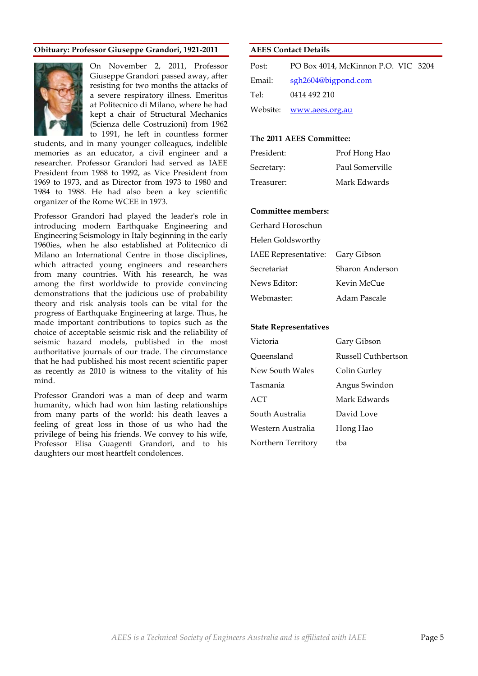#### **Obituary: Professor Giuseppe Grandori, 1921-2011**



On November 2, 2011, Professor Giuseppe Grandori passed away, after resisting for two months the attacks of a severe respiratory illness. Emeritus at Politecnico di Milano, where he had kept a chair of Structural Mechanics (Scienza delle Costruzioni) from 1962 to 1991, he left in countless former

students, and in many younger colleagues, indelible memories as an educator, a civil engineer and a researcher. Professor Grandori had served as IAEE President from 1988 to 1992, as Vice President from 1969 to 1973, and as Director from 1973 to 1980 and 1984 to 1988. He had also been a key scientific organizer of the Rome WCEE in 1973.

Professor Grandori had played the leader's role in introducing modern Earthquake Engineering and Engineering Seismology in Italy beginning in the early 1960ies, when he also established at Politecnico di Milano an International Centre in those disciplines, which attracted young engineers and researchers from many countries. With his research, he was among the first worldwide to provide convincing demonstrations that the judicious use of probability theory and risk analysis tools can be vital for the progress of Earthquake Engineering at large. Thus, he made important contributions to topics such as the choice of acceptable seismic risk and the reliability of seismic hazard models, published in the most authoritative journals of our trade. The circumstance that he had published his most recent scientific paper as recently as 2010 is witness to the vitality of his mind.

Professor Grandori was a man of deep and warm humanity, which had won him lasting relationships from many parts of the world: his death leaves a feeling of great loss in those of us who had the privilege of being his friends. We convey to his wife, Professor Elisa Guagenti Grandori, and to his daughters our most heartfelt condolences.

#### **AEES Contact Details**

| Post:  | PO Box 4014, McKinnon P.O. VIC 3204 |
|--------|-------------------------------------|
| Email: | sgh2604@bigpond.com                 |
| Tel:   | 0414 492 210                        |
|        | Website: www.aees.org.au            |

#### **The 2011 AEES Committee:**

| President: | Prof Hong Hao   |
|------------|-----------------|
| Secretary: | Paul Somerville |
| Treasurer: | Mark Edwards    |

#### **Committee members:**

| Gerhard Horoschun |  |
|-------------------|--|
|                   |  |

| Helen Goldsworthy |
|-------------------|
|                   |

| IAEE Representative: Gary Gibson |                 |
|----------------------------------|-----------------|
| Secretariat                      | Sharon Anderson |
| News Editor:                     | Kevin McCue     |
| Webmaster:                       | Adam Pascale    |

#### **State Representatives**

| Gary Gibson         |
|---------------------|
| Russell Cuthbertson |
| Colin Gurley        |
| Angus Swindon       |
| Mark Edwards        |
| David Love          |
| Hong Hao            |
| tba                 |
|                     |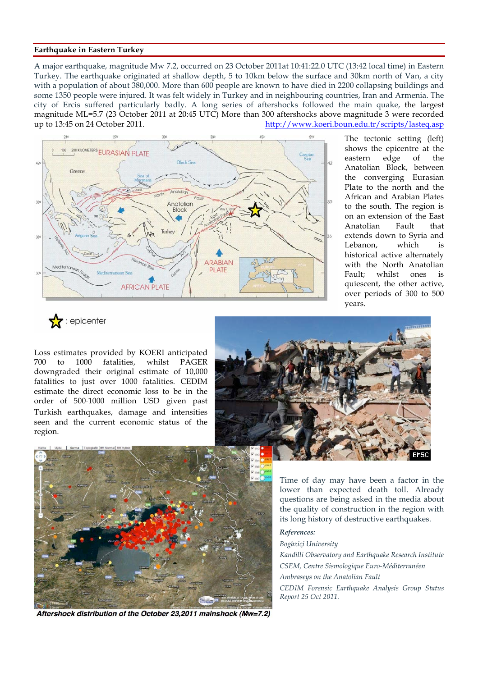#### **Earthquake in Eastern Turkey**

A major earthquake, magnitude Mw 7.2, occurred on 23 October 2011at 10:41:22.0 UTC (13:42 local time) in Eastern Turkey. The earthquake originated at shallow depth, 5 to 10km below the surface and 30km north of Van, a city with a population of about 380,000. More than 600 people are known to have died in 2200 collapsing buildings and some 1350 people were injured. It was felt widely in Turkey and in neighbouring countries, Iran and Armenia. The city of Ercis suffered particularly badly. A long series of aftershocks followed the main quake, the largest magnitude ML=5.7 (23 October 2011 at 20:45 UTC) More than 300 aftershocks above magnitude 3 were recorded up to 13:45 on 24 October 2011. http://www.koeri.boun.edu.tr/scripts/lasteq.asp



The tectonic setting (left) shows the epicentre at the eastern edge of the Anatolian Block, between the converging Eurasian Plate to the north and the African and Arabian Plates to the south. The region is on an extension of the East Anatolian Fault that extends down to Syria and Lebanon, which is historical active alternately with the North Anatolian Fault; whilst ones is quiescent, the other active, over periods of 300 to 500 years.

 $\sum$  : epicenter

Loss estimates provided by KOERI anticipated 700 to 1000 fatalities, whilst PAGER downgraded their original estimate of 10,000 fatalities to just over 1000 fatalities. CEDIM estimate the direct economic loss to be in the order of 500‐1000 million USD given past Turkish earthquakes, damage and intensities seen and the current economic status of the region.





Aftershock distribution of the October 23,2011 mainshock (Mw=7.2)

Time of day may have been a factor in the lower than expected death toll. Already questions are being asked in the media about the quality of construction in the region with its long history of destructive earthquakes.

#### *References:*

*Boğaziçi University*

*Kandilli Observatory and Earthquake Research Institute CSEM, Centre Sismologique Euro-Méditerranéen Ambraseys on the Anatolian Fault CEDIM Forensic Earthquake Analysis Group Status Report 25 Oct 2011.*